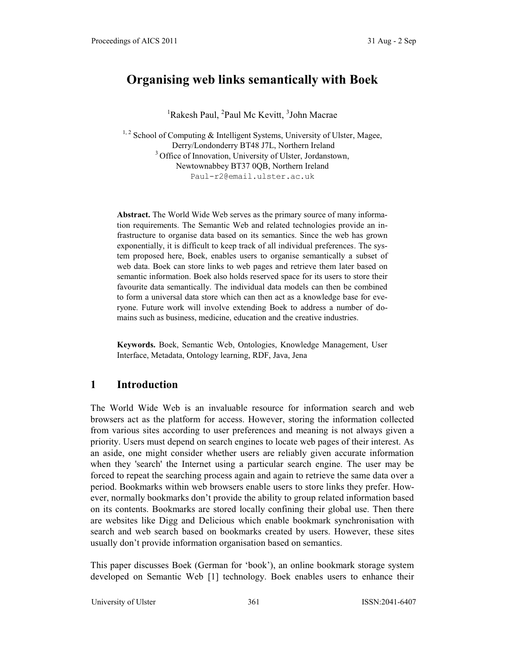# **Organising web links semantically with Boek**

<sup>1</sup>Rakesh Paul, <sup>2</sup>Paul Mc Kevitt, <sup>3</sup>John Macrae

 $1, 2$  School of Computing & Intelligent Systems, University of Ulster, Magee, Derry/Londonderry BT48 J7L, Northern Ireland <sup>3</sup> Office of Innovation, University of Ulster, Jordanstown, Newtownabbey BT37 0QB, Northern Ireland Paul-r2@email.ulster.ac.uk

**Abstract.** The World Wide Web serves as the primary source of many information requirements. The Semantic Web and related technologies provide an infrastructure to organise data based on its semantics. Since the web has grown exponentially, it is difficult to keep track of all individual preferences. The system proposed here, Boek, enables users to organise semantically a subset of web data. Boek can store links to web pages and retrieve them later based on semantic information. Boek also holds reserved space for its users to store their favourite data semantically. The individual data models can then be combined to form a universal data store which can then act as a knowledge base for everyone. Future work will involve extending Boek to address a number of domains such as business, medicine, education and the creative industries.

**Keywords.** Boek, Semantic Web, Ontologies, Knowledge Management, User Interface, Metadata, Ontology learning, RDF, Java, Jena

## **1 Introduction**

The World Wide Web is an invaluable resource for information search and web browsers act as the platform for access. However, storing the information collected from various sites according to user preferences and meaning is not always given a priority. Users must depend on search engines to locate web pages of their interest. As an aside, one might consider whether users are reliably given accurate information when they 'search' the Internet using a particular search engine. The user may be forced to repeat the searching process again and again to retrieve the same data over a period. Bookmarks within web browsers enable users to store links they prefer. However, normally bookmarks don't provide the ability to group related information based on its contents. Bookmarks are stored locally confining their global use. Then there are websites like Digg and Delicious which enable bookmark synchronisation with search and web search based on bookmarks created by users. However, these sites usually don't provide information organisation based on semantics.

This paper discusses Boek (German for 'book'), an online bookmark storage system developed on Semantic Web [1] technology. Boek enables users to enhance their

University of Ulster 361 and 1988 ISSN:2041-6407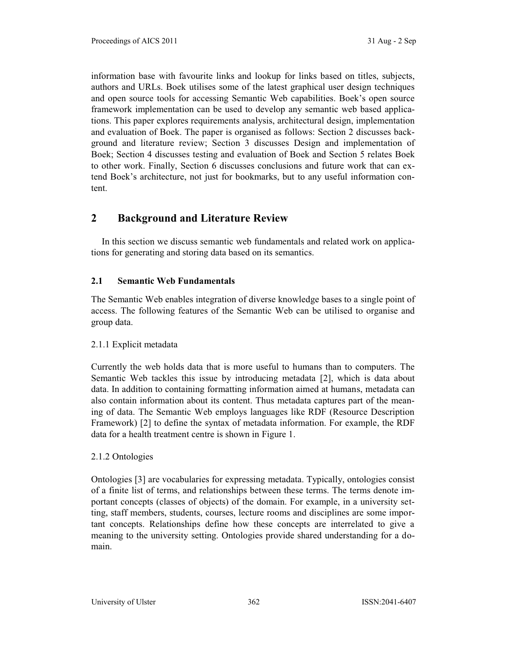information base with favourite links and lookup for links based on titles, subjects, authors and URLs. Boek utilises some of the latest graphical user design techniques and open source tools for accessing Semantic Web capabilities. Boek's open source framework implementation can be used to develop any semantic web based applications. This paper explores requirements analysis, architectural design, implementation and evaluation of Boek. The paper is organised as follows: Section 2 discusses background and literature review; Section 3 discusses Design and implementation of Boek; Section 4 discusses testing and evaluation of Boek and Section 5 relates Boek to other work. Finally, Section 6 discusses conclusions and future work that can extend Boek's architecture, not just for bookmarks, but to any useful information content.

## **2 Background and Literature Review**

In this section we discuss semantic web fundamentals and related work on applications for generating and storing data based on its semantics.

### **2.1 Semantic Web Fundamentals**

The Semantic Web enables integration of diverse knowledge bases to a single point of access. The following features of the Semantic Web can be utilised to organise and group data.

### 2.1.1 Explicit metadata

Currently the web holds data that is more useful to humans than to computers. The Semantic Web tackles this issue by introducing metadata [2], which is data about data. In addition to containing formatting information aimed at humans, metadata can also contain information about its content. Thus metadata captures part of the meaning of data. The Semantic Web employs languages like RDF (Resource Description Framework) [2] to define the syntax of metadata information. For example, the RDF data for a health treatment centre is shown in Figure 1.

### 2.1.2 Ontologies

Ontologies [3] are vocabularies for expressing metadata. Typically, ontologies consist of a finite list of terms, and relationships between these terms. The terms denote important concepts (classes of objects) of the domain. For example, in a university setting, staff members, students, courses, lecture rooms and disciplines are some important concepts. Relationships define how these concepts are interrelated to give a meaning to the university setting. Ontologies provide shared understanding for a domain.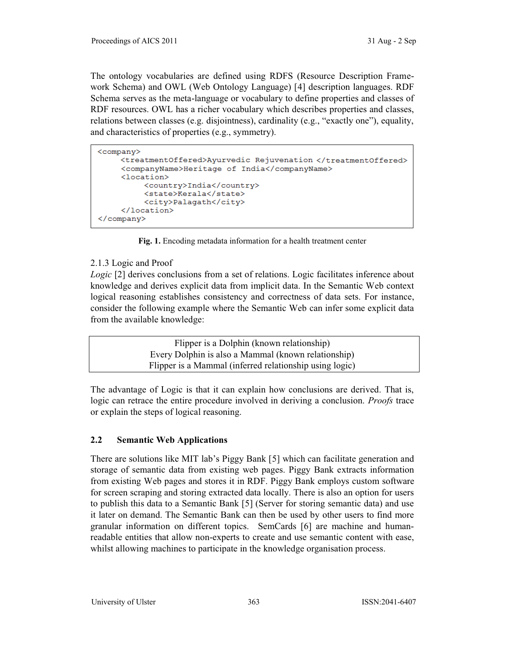The ontology vocabularies are defined using RDFS (Resource Description Framework Schema) and OWL (Web Ontology Language) [4] description languages. RDF Schema serves as the meta-language or vocabulary to define properties and classes of RDF resources. OWL has a richer vocabulary which describes properties and classes, relations between classes (e.g. disjointness), cardinality (e.g., "exactly one"), equality, and characteristics of properties (e.g., symmetry).

```
<company>
```

```
<treatmentOffered>Ayurvedic Rejuvenation </treatmentOffered>
    <companyName>Heritage of India</companyName>
    <location>
         <country>India</country>
         <state>Kerala</state>
         <city>Palagath</city>
    </location>
</company>
```
**Fig. 1.** Encoding metadata information for a health treatment center

### 2.1.3 Logic and Proof

*Logic* [2] derives conclusions from a set of relations. Logic facilitates inference about knowledge and derives explicit data from implicit data. In the Semantic Web context logical reasoning establishes consistency and correctness of data sets. For instance, consider the following example where the Semantic Web can infer some explicit data from the available knowledge:

> Flipper is a Dolphin (known relationship) Every Dolphin is also a Mammal (known relationship) Flipper is a Mammal (inferred relationship using logic)

The advantage of Logic is that it can explain how conclusions are derived. That is, logic can retrace the entire procedure involved in deriving a conclusion. *Proofs* trace or explain the steps of logical reasoning.

### **2.2 Semantic Web Applications**

There are solutions like MIT lab's Piggy Bank  $[5]$  which can facilitate generation and storage of semantic data from existing web pages. Piggy Bank extracts information from existing Web pages and stores it in RDF. Piggy Bank employs custom software for screen scraping and storing extracted data locally. There is also an option for users to publish this data to a Semantic Bank [5] (Server for storing semantic data) and use it later on demand. The Semantic Bank can then be used by other users to find more granular information on different topics. SemCards [6] are machine and humanreadable entities that allow non-experts to create and use semantic content with ease, whilst allowing machines to participate in the knowledge organisation process.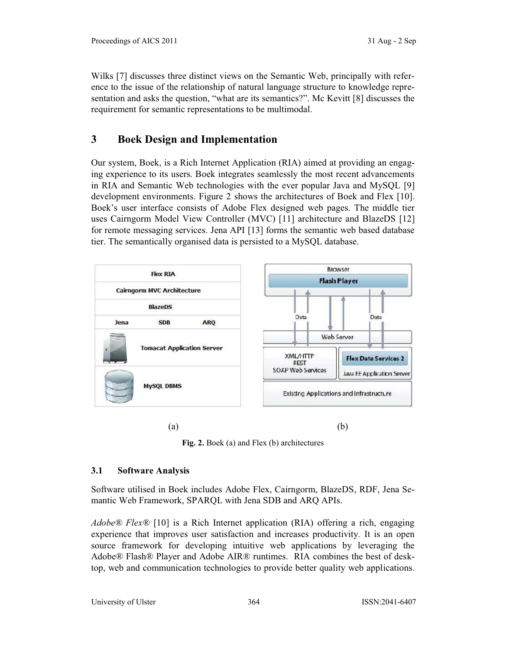Wilks [7] discusses three distinct views on the Semantic Web, principally with reference to the issue of the relationship of natural language structure to knowledge representation and asks the question, "what are its semantics?". Mc Kevitt  $[8]$  discusses the requirement for semantic representations to be multimodal.

## **3 Boek Design and Implementation**

Our system, Boek, is a Rich Internet Application (RIA) aimed at providing an engaging experience to its users. Boek integrates seamlessly the most recent advancements in RIA and Semantic Web technologies with the ever popular Java and MySQL [9] development environments. Figure 2 shows the architectures of Boek and Flex [10]. Boek's user interface consists of Adobe Flex designed web pages. The middle tier uses Cairngorm Model View Controller (MVC) [11] architecture and BlazeDS [12] for remote messaging services. Jena API [13] forms the semantic web based database tier. The semantically organised data is persisted to a MySQL database.



 $(a)$  (b)

**Fig. 2.** Boek (a) and Flex (b) architectures

## **3.1 Software Analysis**

Software utilised in Boek includes Adobe Flex, Cairngorm, BlazeDS, RDF, Jena Semantic Web Framework, SPARQL with Jena SDB and ARQ APIs.

*Adobe<sup>®</sup> Flex®* [10] is a Rich Internet application (RIA) offering a rich, engaging experience that improves user satisfaction and increases productivity*.* It is an open source framework for developing intuitive web applications by leveraging the Adobe® Flash® Player and Adobe AIR® runtimes. RIA combines the best of desktop, web and communication technologies to provide better quality web applications.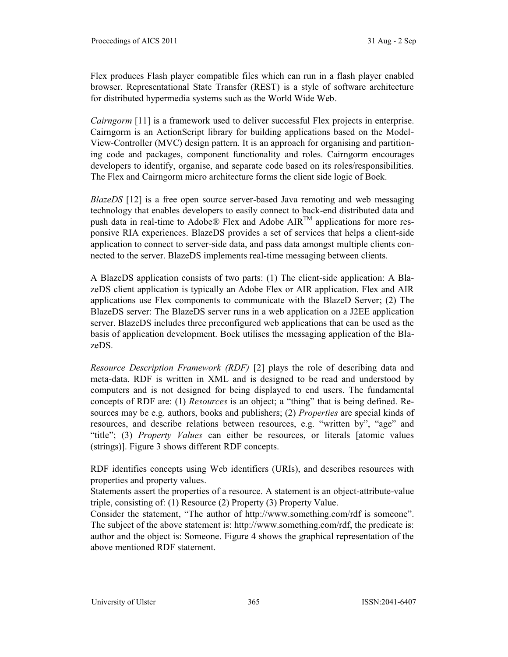Flex produces Flash player compatible files which can run in a flash player enabled browser. Representational State Transfer (REST) is a style of software architecture for distributed hypermedia systems such as the World Wide Web.

*Cairngorm* [11] is a framework used to deliver successful Flex projects in enterprise. Cairngorm is an ActionScript library for building applications based on the Model-View-Controller (MVC) design pattern. It is an approach for organising and partitioning code and packages, component functionality and roles. Cairngorm encourages developers to identify, organise, and separate code based on its roles/responsibilities. The Flex and Cairngorm micro architecture forms the client side logic of Boek.

*BlazeDS* [12] is a free open source server-based Java remoting and web messaging technology that enables developers to easily connect to back-end distributed data and push data in real-time to Adobe® Flex and Adobe AIRTM applications for more responsive RIA experiences. BlazeDS provides a set of services that helps a client-side application to connect to server-side data, and pass data amongst multiple clients connected to the server. BlazeDS implements real-time messaging between clients.

A BlazeDS application consists of two parts: (1) The client-side application: A BlazeDS client application is typically an Adobe Flex or AIR application. Flex and AIR applications use Flex components to communicate with the BlazeD Server; (2) The BlazeDS server: The BlazeDS server runs in a web application on a J2EE application server. BlazeDS includes three preconfigured web applications that can be used as the basis of application development. Boek utilises the messaging application of the BlazeDS.

*Resource Description Framework (RDF)* [2] plays the role of describing data and meta-data. RDF is written in XML and is designed to be read and understood by computers and is not designed for being displayed to end users. The fundamental concepts of RDF are: (1) *Resources* is an object; a "thing" that is being defined. Resources may be e.g. authors, books and publishers; (2) *Properties* are special kinds of resources, and describe relations between resources, e.g. "written by", "age" and ³title´; (3) *Property Values* can either be resources, or literals [atomic values (strings)]. Figure 3 shows different RDF concepts.

RDF identifies concepts using Web identifiers (URIs), and describes resources with properties and property values.

Statements assert the properties of a resource. A statement is an object-attribute-value triple, consisting of: (1) Resource (2) Property (3) Property Value.

Consider the statement, "The author of http://www.something.com/rdf is someone". The subject of the above statement is: http://www.something.com/rdf, the predicate is: author and the object is: Someone. Figure 4 shows the graphical representation of the above mentioned RDF statement.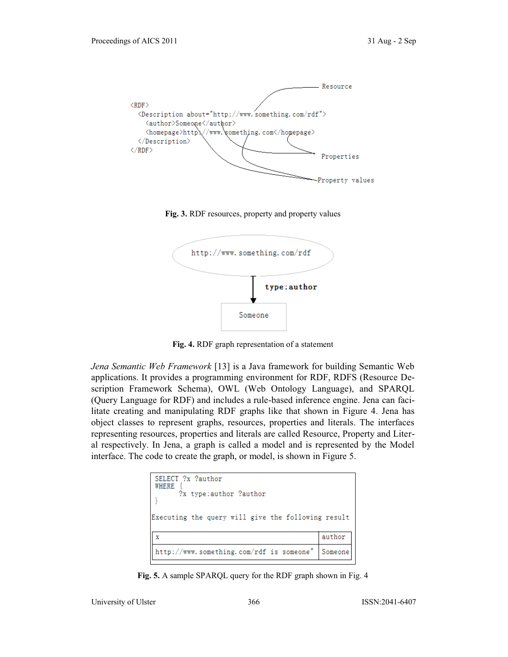

**Fig. 3.** RDF resources, property and property values



**Fig. 4.** RDF graph representation of a statement

*Jena Semantic Web Framework* [13] is a Java framework for building Semantic Web applications. It provides a programming environment for RDF, RDFS (Resource Description Framework Schema), OWL (Web Ontology Language), and SPARQL (Query Language for RDF) and includes a rule-based inference engine. Jena can facilitate creating and manipulating RDF graphs like that shown in Figure 4. Jena has object classes to represent graphs, resources, properties and literals. The interfaces representing resources, properties and literals are called Resource, Property and Literal respectively. In Jena, a graph is called a model and is represented by the Model interface. The code to create the graph, or model, is shown in Figure 5.

| SELECT ?x ?author<br><b>WHERE</b><br>?x type:author ?author |         |  |
|-------------------------------------------------------------|---------|--|
| Executing the query will give the following result          |         |  |
|                                                             | author  |  |
| http://www.something.com/rdf is someone"                    | Someone |  |

**Fig. 5.** A sample SPARQL query for the RDF graph shown in Fig. 4

University of Ulster 366 ISSN:2041-6407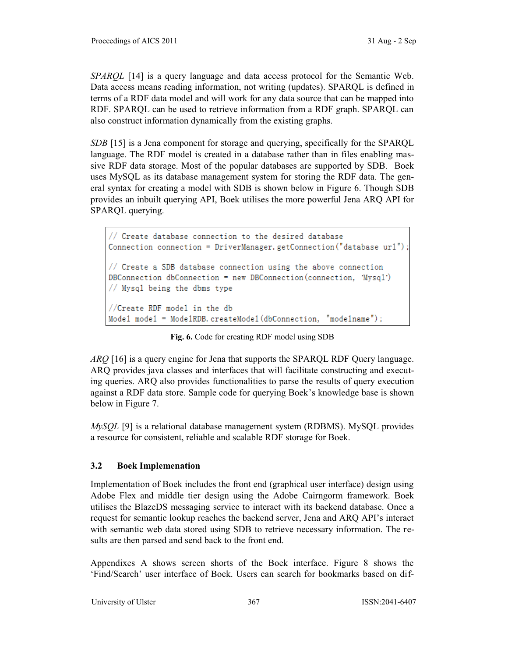*SPAROL* [14] is a query language and data access protocol for the Semantic Web. Data access means reading information, not writing (updates). SPARQL is defined in terms of a RDF data model and will work for any data source that can be mapped into RDF. SPARQL can be used to retrieve information from a RDF graph. SPARQL can also construct information dynamically from the existing graphs.

*SDB* [15] is a Jena component for storage and querying, specifically for the SPARQL language. The RDF model is created in a database rather than in files enabling massive RDF data storage. Most of the popular databases are supported by SDB. Boek uses MySQL as its database management system for storing the RDF data. The general syntax for creating a model with SDB is shown below in Figure 6. Though SDB provides an inbuilt querying API, Boek utilises the more powerful Jena ARQ API for SPARQL querying.

```
// Create database connection to the desired database
Connection connection = DriverManager.getConnection("database url");
// Create a SDB database connection using the above connection
DBConnection dbConnection = new DBConnection (connection, 'Mysql')
// Mysql being the dbms type
//Create RDF model in the db
Model model = Mode1RDB.createMode1(dbConnection, "mode1name");
```
**Fig. 6.** Code for creating RDF model using SDB

*ARQ* [16] is a query engine for Jena that supports the SPARQL RDF Query language. ARQ provides java classes and interfaces that will facilitate constructing and executing queries. ARQ also provides functionalities to parse the results of query execution against a RDF data store. Sample code for querying Boek's knowledge base is shown below in Figure 7.

*MySQL* [9] is a relational database management system (RDBMS). MySQL provides a resource for consistent, reliable and scalable RDF storage for Boek.

### **3.2 Boek Implemenation**

Implementation of Boek includes the front end (graphical user interface) design using Adobe Flex and middle tier design using the Adobe Cairngorm framework. Boek utilises the BlazeDS messaging service to interact with its backend database. Once a request for semantic lookup reaches the backend server, Jena and ARQ API's interact with semantic web data stored using SDB to retrieve necessary information. The results are then parsed and send back to the front end.

Appendixes A shows screen shorts of the Boek interface. Figure 8 shows the 'Find/Search' user interface of Boek. Users can search for bookmarks based on dif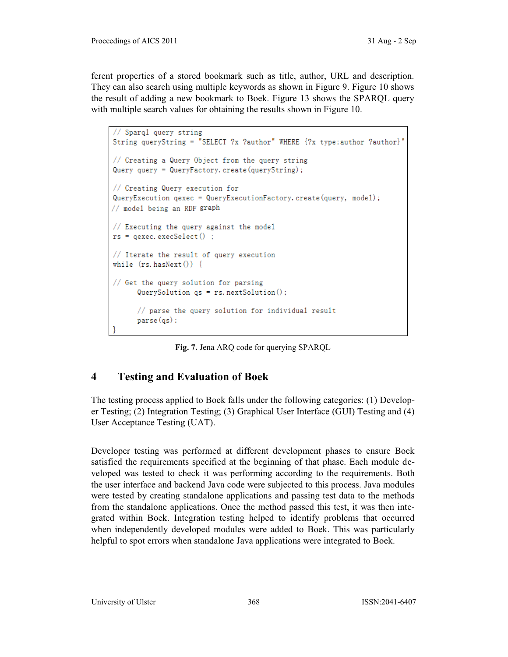ferent properties of a stored bookmark such as title, author, URL and description. They can also search using multiple keywords as shown in Figure 9. Figure 10 shows the result of adding a new bookmark to Boek. Figure 13 shows the SPARQL query with multiple search values for obtaining the results shown in Figure 10.

```
// Sparql query string
String queryString = "SELECT ?x ?author" WHERE {?x type:author ?author}"
// Creating a Query Object from the query string
Query query = QueryFactory. create (queryString);
// Creating Query execution for
QueryExecution qexec = QueryExecutionFactory. create (query, model);
// model being an RDF graph
// Executing the query against the model
rs = qexec. execSelect();
// Iterate the result of query execution
while (rs. hasNext()) {
// Get the query solution for parsing
      QuerySolution qs = rs.nextSolution();
      // parse the query solution for individual result
      parse(qs);
```
**Fig. 7.** Jena ARQ code for querying SPARQL

## **4 Testing and Evaluation of Boek**

The testing process applied to Boek falls under the following categories: (1) Developer Testing; (2) Integration Testing; (3) Graphical User Interface (GUI) Testing and (4) User Acceptance Testing (UAT).

Developer testing was performed at different development phases to ensure Boek satisfied the requirements specified at the beginning of that phase. Each module developed was tested to check it was performing according to the requirements. Both the user interface and backend Java code were subjected to this process. Java modules were tested by creating standalone applications and passing test data to the methods from the standalone applications. Once the method passed this test, it was then integrated within Boek. Integration testing helped to identify problems that occurred when independently developed modules were added to Boek. This was particularly helpful to spot errors when standalone Java applications were integrated to Boek.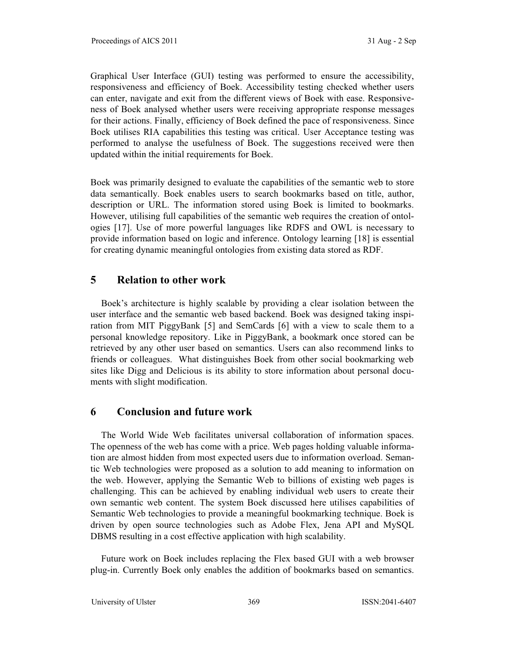Graphical User Interface (GUI) testing was performed to ensure the accessibility, responsiveness and efficiency of Boek. Accessibility testing checked whether users can enter, navigate and exit from the different views of Boek with ease. Responsiveness of Boek analysed whether users were receiving appropriate response messages for their actions. Finally, efficiency of Boek defined the pace of responsiveness. Since Boek utilises RIA capabilities this testing was critical. User Acceptance testing was performed to analyse the usefulness of Boek. The suggestions received were then updated within the initial requirements for Boek.

Boek was primarily designed to evaluate the capabilities of the semantic web to store data semantically. Boek enables users to search bookmarks based on title, author, description or URL. The information stored using Boek is limited to bookmarks. However, utilising full capabilities of the semantic web requires the creation of ontologies [17]. Use of more powerful languages like RDFS and OWL is necessary to provide information based on logic and inference. Ontology learning [18] is essential for creating dynamic meaningful ontologies from existing data stored as RDF.

### **5 Relation to other work**

Boek's architecture is highly scalable by providing a clear isolation between the user interface and the semantic web based backend. Boek was designed taking inspiration from MIT PiggyBank [5] and SemCards [6] with a view to scale them to a personal knowledge repository. Like in PiggyBank, a bookmark once stored can be retrieved by any other user based on semantics. Users can also recommend links to friends or colleagues. What distinguishes Boek from other social bookmarking web sites like Digg and Delicious is its ability to store information about personal documents with slight modification.

#### **6 Conclusion and future work**

The World Wide Web facilitates universal collaboration of information spaces. The openness of the web has come with a price. Web pages holding valuable information are almost hidden from most expected users due to information overload. Semantic Web technologies were proposed as a solution to add meaning to information on the web. However, applying the Semantic Web to billions of existing web pages is challenging. This can be achieved by enabling individual web users to create their own semantic web content. The system Boek discussed here utilises capabilities of Semantic Web technologies to provide a meaningful bookmarking technique. Boek is driven by open source technologies such as Adobe Flex, Jena API and MySQL DBMS resulting in a cost effective application with high scalability.

Future work on Boek includes replacing the Flex based GUI with a web browser plug-in. Currently Boek only enables the addition of bookmarks based on semantics.

University of Ulster 369 ISSN:2041-6407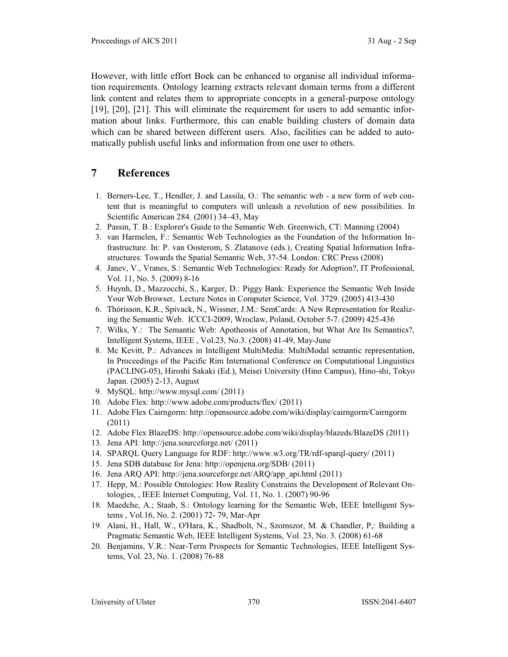However, with little effort Boek can be enhanced to organise all individual information requirements. Ontology learning extracts relevant domain terms from a different link content and relates them to appropriate concepts in a general-purpose ontology [19], [20], [21]. This will eliminate the requirement for users to add semantic information about links. Furthermore, this can enable building clusters of domain data which can be shared between different users. Also, facilities can be added to automatically publish useful links and information from one user to others.

## **7 References**

- 1. Berners-Lee, T., Hendler, J. and Lassila, O.: The semantic web a new form of web content that is meaningful to computers will unleash a revolution of new possibilities. In Scientific American 284.  $(2001)$  34–43, May
- 2. Passin, T. B.: Explorer's Guide to the Semantic Web. Greenwich, CT: Manning (2004)
- 3. van Harmelen, F.: Semantic Web Technologies as the Foundation of the Information Infrastructure. In: P. van Oosterom, S. Zlatanove (eds.), Creating Spatial Information Infrastructures: Towards the Spatial Semantic Web, 37-54. London: CRC Press (2008)
- 4. Janev, V., Vranes, S.: Semantic Web Technologies: Ready for Adoption?, IT Professional, Vol. 11, No. 5. (2009) 8-16
- 5. Huynh, D., Mazzocchi, S., Karger, D.: Piggy Bank: Experience the Semantic Web Inside Your Web Browser, Lecture Notes in Computer Science, Vol. 3729. (2005) 413-430
- 6. Thórisson, K.R., Spivack, N., Wissner, J.M.: SemCards: A New Representation for Realizing the Semantic Web. ICCCI-2009, Wroclaw, Poland, October 5-7. (2009) 425-436
- 7. Wilks, Y.: The Semantic Web: Apotheosis of Annotation, but What Are Its Semantics?, Intelligent Systems, IEEE , Vol.23, No.3. (2008) 41-49, May-June
- 8. Mc Kevitt, P.: Advances in Intelligent MultiMedia: MultiModal semantic representation, In Proceedings of the Pacific Rim International Conference on Computational Linguistics (PACLING-05), Hiroshi Sakaki (Ed.), Meisei University (Hino Campus), Hino-shi, Tokyo Japan. (2005) 2-13, August
- 9. MySQL: http://www.mysql.com/ (2011)
- 10. Adobe Flex: http://www.adobe.com/products/flex/ (2011)
- 11. Adobe Flex Cairngorm: http://opensource.adobe.com/wiki/display/cairngorm/Cairngorm (2011)
- 12. Adobe Flex BlazeDS: http://opensource.adobe.com/wiki/display/blazeds/BlazeDS (2011)
- 13. Jena API: http://jena.sourceforge.net/ (2011)
- 14. SPARQL Query Language for RDF: http://www.w3.org/TR/rdf-sparql-query/ (2011)
- 15. Jena SDB database for Jena: http://openjena.org/SDB/ (2011)
- 16. Jena ARQ API: http://jena.sourceforge.net/ARQ/app\_api.html (2011)
- 17. Hepp, M.: Possible Ontologies: How Reality Constrains the Development of Relevant Ontologies, , IEEE Internet Computing, Vol. 11, No. 1. (2007) 90-96
- 18. Maedche, A.; Staab, S.: Ontology learning for the Semantic Web, IEEE Intelligent Systems , Vol.16, No. 2. (2001) 72- 79, Mar-Apr
- 19. Alani, H., Hall, W., O'Hara, K., Shadbolt, N., Szomszor, M. & Chandler, P,: Building a Pragmatic Semantic Web, IEEE Intelligent Systems, Vol. 23, No. 3. (2008) 61-68
- 20. Benjamins, V.R.: Near-Term Prospects for Semantic Technologies, IEEE Intelligent Systems, Vol. 23, No. 1. (2008) 76-88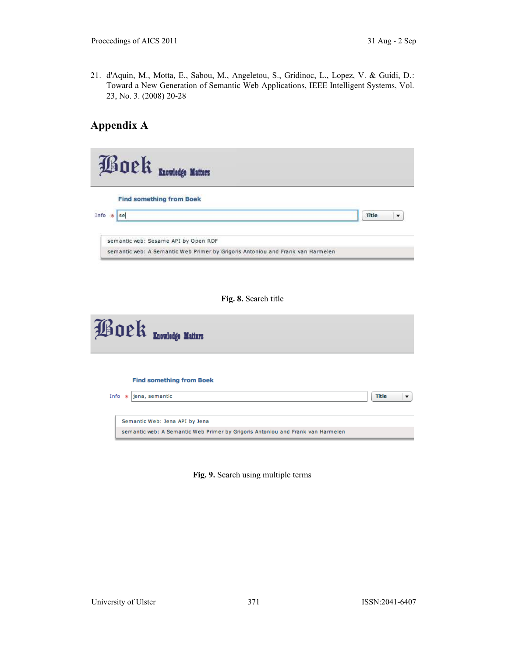21. d'Aquin, M., Motta, E., Sabou, M., Angeletou, S., Gridinoc, L., Lopez, V. & Guidi, D.: Toward a New Generation of Semantic Web Applications, IEEE Intelligent Systems, Vol. 23, No. 3. (2008) 20-28

# **Appendix A**

| <b>Boek</b> Encwledge Matters                                                   |                                    |
|---------------------------------------------------------------------------------|------------------------------------|
| <b>Find something from Boek</b>                                                 |                                    |
| Info * se                                                                       | <b>Title</b><br>$\pmb{\mathrm{v}}$ |
| semantic web: Sesame API by Open RDF                                            |                                    |
| semantic web: A Semantic Web Primer by Grigoris Antoniou and Frank van Harmelen |                                    |
|                                                                                 |                                    |
| Fig. 8. Search title                                                            |                                    |

| <b>Boek</b> Enowhedge Matters |                                                                                                                   |   |  |  |  |
|-------------------------------|-------------------------------------------------------------------------------------------------------------------|---|--|--|--|
|                               | <b>Find something from Boek</b><br>Info $*$ jena, semantic<br>Title                                               | ▼ |  |  |  |
|                               | Semantic Web: Jena API by Jena<br>semantic web: A Semantic Web Primer by Grigoris Antoniou and Frank van Harmelen |   |  |  |  |

**Fig. 9.** Search using multiple terms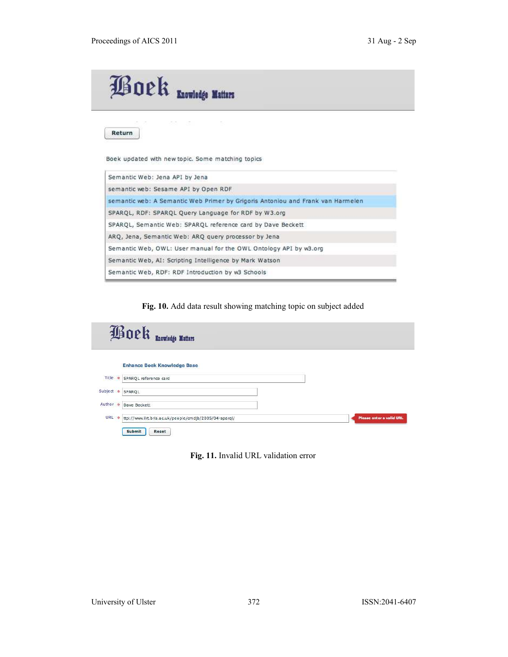

Return

Boek updated with new topic. Some matching topics

 $\lesssim$ 

| Semantic Web: Jena API by Jena                                                  |
|---------------------------------------------------------------------------------|
| semantic web: Sesame API by Open RDF                                            |
| semantic web: A Semantic Web Primer by Grigoris Antoniou and Frank van Harmelen |
| SPARQL, RDF: SPARQL Query Language for RDF by W3.org                            |
| SPAROL, Semantic Web: SPAROL reference card by Dave Beckett                     |
| ARQ, Jena, Semantic Web: ARQ query processor by Jena                            |
| Semantic Web, OWL: User manual for the OWL Ontology API by w3.org               |
| Semantic Web, AI: Scripting Intelligence by Mark Watson                         |
| Semantic Web, RDF: RDF Introduction by w3 Schools                               |

**Fig. 10.** Add data result showing matching topic on subject added

|           | <b>Boek</b> Enowhedge Matters                          |                          |
|-----------|--------------------------------------------------------|--------------------------|
|           | <b>Enhance Boek Knowledge Base</b>                     |                          |
| Title *   | SPARQL reference card                                  |                          |
| Subject * | SPARQL                                                 |                          |
| Author *  | Dave Beckett                                           |                          |
| URL 来     | ttp://www.lirt.bris.ac.uk/people/cmdjb/2005/04-sparql/ | Please enter a valid URL |
|           | <b>Submit</b><br>Reset                                 |                          |

**Fig. 11.** Invalid URL validation error